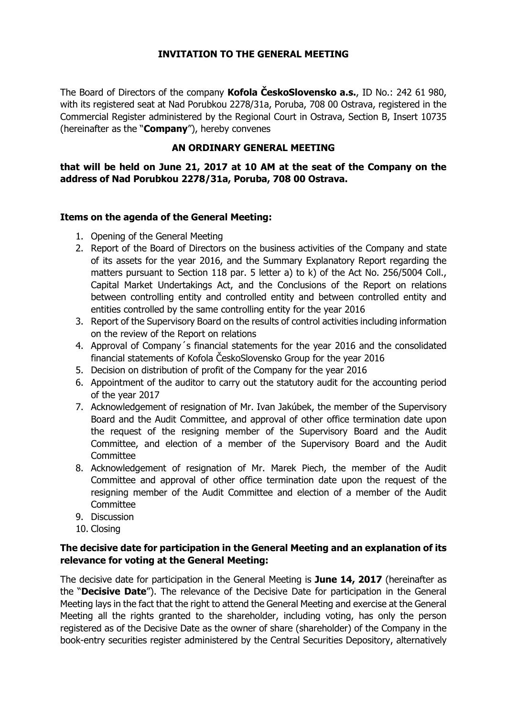## **INVITATION TO THE GENERAL MEETING**

The Board of Directors of the company **Kofola ČeskoSlovensko a.s.**, ID No.: 242 61 980, with its registered seat at Nad Porubkou 2278/31a, Poruba, 708 00 Ostrava, registered in the Commercial Register administered by the Regional Court in Ostrava, Section B, Insert 10735 (hereinafter as the "**Company**"), hereby convenes

## **AN ORDINARY GENERAL MEETING**

**that will be held on June 21, 2017 at 10 AM at the seat of the Company on the address of Nad Porubkou 2278/31a, Poruba, 708 00 Ostrava.** 

## **Items on the agenda of the General Meeting:**

- 1. Opening of the General Meeting
- 2. Report of the Board of Directors on the business activities of the Company and state of its assets for the year 2016, and the Summary Explanatory Report regarding the matters pursuant to Section 118 par. 5 letter a) to k) of the Act No. 256/5004 Coll., Capital Market Undertakings Act, and the Conclusions of the Report on relations between controlling entity and controlled entity and between controlled entity and entities controlled by the same controlling entity for the year 2016
- 3. Report of the Supervisory Board on the results of control activities including information on the review of the Report on relations
- 4. Approval of Company´s financial statements for the year 2016 and the consolidated financial statements of Kofola ČeskoSlovensko Group for the year 2016
- 5. Decision on distribution of profit of the Company for the year 2016
- 6. Appointment of the auditor to carry out the statutory audit for the accounting period of the year 2017
- 7. Acknowledgement of resignation of Mr. Ivan Jakúbek, the member of the Supervisory Board and the Audit Committee, and approval of other office termination date upon the request of the resigning member of the Supervisory Board and the Audit Committee, and election of a member of the Supervisory Board and the Audit **Committee**
- 8. Acknowledgement of resignation of Mr. Marek Piech, the member of the Audit Committee and approval of other office termination date upon the request of the resigning member of the Audit Committee and election of a member of the Audit **Committee**
- 9. Discussion
- 10. Closing

## **The decisive date for participation in the General Meeting and an explanation of its relevance for voting at the General Meeting:**

The decisive date for participation in the General Meeting is **June 14, 2017** (hereinafter as the "**Decisive Date**"). The relevance of the Decisive Date for participation in the General Meeting lays in the fact that the right to attend the General Meeting and exercise at the General Meeting all the rights granted to the shareholder, including voting, has only the person registered as of the Decisive Date as the owner of share (shareholder) of the Company in the book-entry securities register administered by the Central Securities Depository, alternatively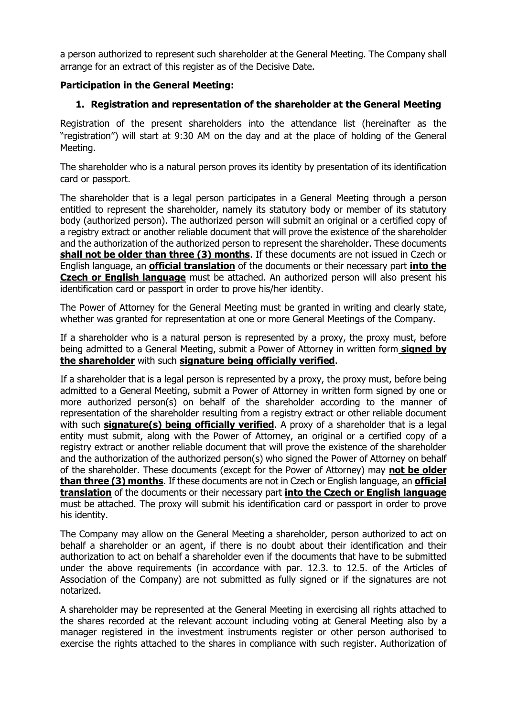a person authorized to represent such shareholder at the General Meeting. The Company shall arrange for an extract of this register as of the Decisive Date.

## **Participation in the General Meeting:**

# **1. Registration and representation of the shareholder at the General Meeting**

Registration of the present shareholders into the attendance list (hereinafter as the "registration") will start at 9:30 AM on the day and at the place of holding of the General Meeting.

The shareholder who is a natural person proves its identity by presentation of its identification card or passport.

The shareholder that is a legal person participates in a General Meeting through a person entitled to represent the shareholder, namely its statutory body or member of its statutory body (authorized person). The authorized person will submit an original or a certified copy of a registry extract or another reliable document that will prove the existence of the shareholder and the authorization of the authorized person to represent the shareholder. These documents **shall not be older than three (3) months**. If these documents are not issued in Czech or English language, an **official translation** of the documents or their necessary part **into the Czech or English language** must be attached. An authorized person will also present his identification card or passport in order to prove his/her identity.

The Power of Attorney for the General Meeting must be granted in writing and clearly state, whether was granted for representation at one or more General Meetings of the Company.

If a shareholder who is a natural person is represented by a proxy, the proxy must, before being admitted to a General Meeting, submit a Power of Attorney in written form **signed by the shareholder** with such **signature being officially verified**.

If a shareholder that is a legal person is represented by a proxy, the proxy must, before being admitted to a General Meeting, submit a Power of Attorney in written form signed by one or more authorized person(s) on behalf of the shareholder according to the manner of representation of the shareholder resulting from a registry extract or other reliable document with such **signature(s) being officially verified**. A proxy of a shareholder that is a legal entity must submit, along with the Power of Attorney, an original or a certified copy of a registry extract or another reliable document that will prove the existence of the shareholder and the authorization of the authorized person(s) who signed the Power of Attorney on behalf of the shareholder. These documents (except for the Power of Attorney) may **not be older than three (3) months**. If these documents are not in Czech or English language, an **official translation** of the documents or their necessary part **into the Czech or English language** must be attached. The proxy will submit his identification card or passport in order to prove his identity.

The Company may allow on the General Meeting a shareholder, person authorized to act on behalf a shareholder or an agent, if there is no doubt about their identification and their authorization to act on behalf a shareholder even if the documents that have to be submitted under the above requirements (in accordance with par. 12.3. to 12.5. of the Articles of Association of the Company) are not submitted as fully signed or if the signatures are not notarized.

A shareholder may be represented at the General Meeting in exercising all rights attached to the shares recorded at the relevant account including voting at General Meeting also by a manager registered in the investment instruments register or other person authorised to exercise the rights attached to the shares in compliance with such register. Authorization of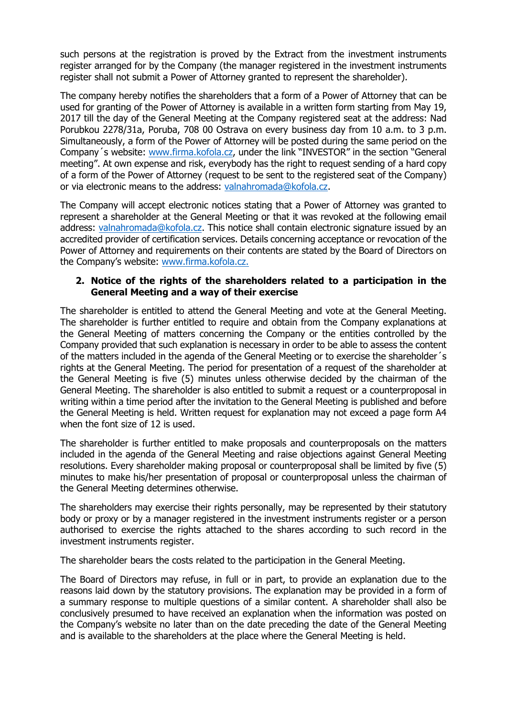such persons at the registration is proved by the Extract from the investment instruments register arranged for by the Company (the manager registered in the investment instruments register shall not submit a Power of Attorney granted to represent the shareholder).

The company hereby notifies the shareholders that a form of a Power of Attorney that can be used for granting of the Power of Attorney is available in a written form starting from May 19, 2017 till the day of the General Meeting at the Company registered seat at the address: Nad Porubkou 2278/31a, Poruba, 708 00 Ostrava on every business day from 10 a.m. to 3 p.m. Simultaneously, a form of the Power of Attorney will be posted during the same period on the Company´s website: [www.firma.kofola.cz,](http://www.firma.kofola.cz/) under the link "INVESTOR" in the section "General meeting". At own expense and risk, everybody has the right to request sending of a hard copy of a form of the Power of Attorney (request to be sent to the registered seat of the Company) or via electronic means to the address: [valnahromada@kofola.cz.](mailto:valnahromada@kofola.cz)

The Company will accept electronic notices stating that a Power of Attorney was granted to represent a shareholder at the General Meeting or that it was revoked at the following email address: [valnahromada@kofola.cz.](mailto:valnahromada@kofola.cz) This notice shall contain electronic signature issued by an accredited provider of certification services. Details concerning acceptance or revocation of the Power of Attorney and requirements on their contents are stated by the Board of Directors on the Company's website: [www.firma.kofola.cz.](http://www.firma.kofola.cz/)

## **2. Notice of the rights of the shareholders related to a participation in the General Meeting and a way of their exercise**

The shareholder is entitled to attend the General Meeting and vote at the General Meeting. The shareholder is further entitled to require and obtain from the Company explanations at the General Meeting of matters concerning the Company or the entities controlled by the Company provided that such explanation is necessary in order to be able to assess the content of the matters included in the agenda of the General Meeting or to exercise the shareholder´s rights at the General Meeting. The period for presentation of a request of the shareholder at the General Meeting is five (5) minutes unless otherwise decided by the chairman of the General Meeting. The shareholder is also entitled to submit a request or a counterproposal in writing within a time period after the invitation to the General Meeting is published and before the General Meeting is held. Written request for explanation may not exceed a page form A4 when the font size of 12 is used.

The shareholder is further entitled to make proposals and counterproposals on the matters included in the agenda of the General Meeting and raise objections against General Meeting resolutions. Every shareholder making proposal or counterproposal shall be limited by five (5) minutes to make his/her presentation of proposal or counterproposal unless the chairman of the General Meeting determines otherwise.

The shareholders may exercise their rights personally, may be represented by their statutory body or proxy or by a manager registered in the investment instruments register or a person authorised to exercise the rights attached to the shares according to such record in the investment instruments register.

The shareholder bears the costs related to the participation in the General Meeting.

The Board of Directors may refuse, in full or in part, to provide an explanation due to the reasons laid down by the statutory provisions. The explanation may be provided in a form of a summary response to multiple questions of a similar content. A shareholder shall also be conclusively presumed to have received an explanation when the information was posted on the Company's website no later than on the date preceding the date of the General Meeting and is available to the shareholders at the place where the General Meeting is held.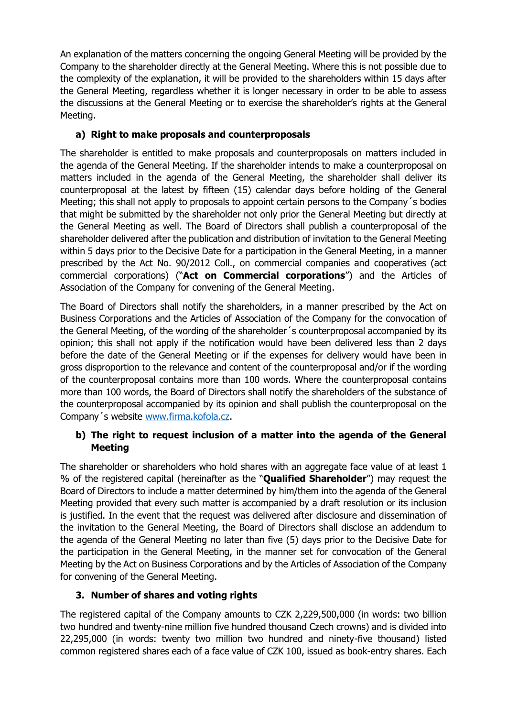An explanation of the matters concerning the ongoing General Meeting will be provided by the Company to the shareholder directly at the General Meeting. Where this is not possible due to the complexity of the explanation, it will be provided to the shareholders within 15 days after the General Meeting, regardless whether it is longer necessary in order to be able to assess the discussions at the General Meeting or to exercise the shareholder's rights at the General Meeting.

# **a) Right to make proposals and counterproposals**

The shareholder is entitled to make proposals and counterproposals on matters included in the agenda of the General Meeting. If the shareholder intends to make a counterproposal on matters included in the agenda of the General Meeting, the shareholder shall deliver its counterproposal at the latest by fifteen (15) calendar days before holding of the General Meeting; this shall not apply to proposals to appoint certain persons to the Company´s bodies that might be submitted by the shareholder not only prior the General Meeting but directly at the General Meeting as well. The Board of Directors shall publish a counterproposal of the shareholder delivered after the publication and distribution of invitation to the General Meeting within 5 days prior to the Decisive Date for a participation in the General Meeting, in a manner prescribed by the Act No. 90/2012 Coll., on commercial companies and cooperatives (act commercial corporations) ("**Act on Commercial corporations**") and the Articles of Association of the Company for convening of the General Meeting.

The Board of Directors shall notify the shareholders, in a manner prescribed by the Act on Business Corporations and the Articles of Association of the Company for the convocation of the General Meeting, of the wording of the shareholder´s counterproposal accompanied by its opinion; this shall not apply if the notification would have been delivered less than 2 days before the date of the General Meeting or if the expenses for delivery would have been in gross disproportion to the relevance and content of the counterproposal and/or if the wording of the counterproposal contains more than 100 words. Where the counterproposal contains more than 100 words, the Board of Directors shall notify the shareholders of the substance of the counterproposal accompanied by its opinion and shall publish the counterproposal on the Company´s website [www.firma.kofola.cz.](http://www.firma.kofola.cz/)

# **b) The right to request inclusion of a matter into the agenda of the General Meeting**

The shareholder or shareholders who hold shares with an aggregate face value of at least 1 % of the registered capital (hereinafter as the "**Qualified Shareholder**") may request the Board of Directors to include a matter determined by him/them into the agenda of the General Meeting provided that every such matter is accompanied by a draft resolution or its inclusion is justified. In the event that the request was delivered after disclosure and dissemination of the invitation to the General Meeting, the Board of Directors shall disclose an addendum to the agenda of the General Meeting no later than five (5) days prior to the Decisive Date for the participation in the General Meeting, in the manner set for convocation of the General Meeting by the Act on Business Corporations and by the Articles of Association of the Company for convening of the General Meeting.

# **3. Number of shares and voting rights**

The registered capital of the Company amounts to CZK 2,229,500,000 (in words: two billion two hundred and twenty-nine million five hundred thousand Czech crowns) and is divided into 22,295,000 (in words: twenty two million two hundred and ninety-five thousand) listed common registered shares each of a face value of CZK 100, issued as book-entry shares. Each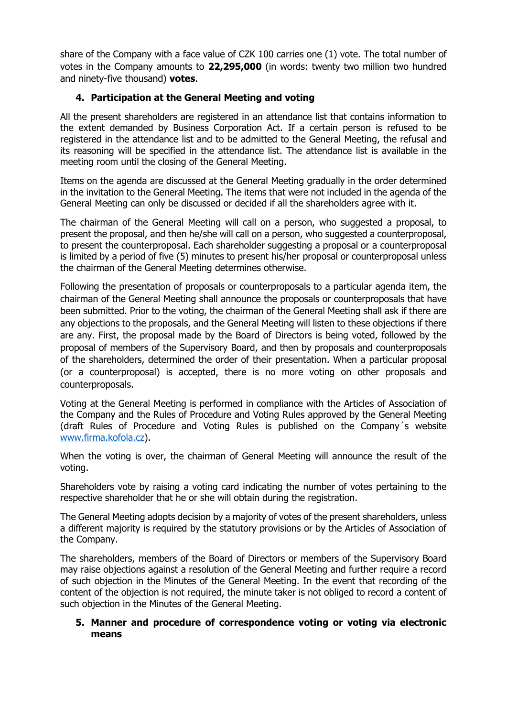share of the Company with a face value of CZK 100 carries one (1) vote. The total number of votes in the Company amounts to **22,295,000** (in words: twenty two million two hundred and ninety-five thousand) **votes**.

## **4. Participation at the General Meeting and voting**

All the present shareholders are registered in an attendance list that contains information to the extent demanded by Business Corporation Act. If a certain person is refused to be registered in the attendance list and to be admitted to the General Meeting, the refusal and its reasoning will be specified in the attendance list. The attendance list is available in the meeting room until the closing of the General Meeting.

Items on the agenda are discussed at the General Meeting gradually in the order determined in the invitation to the General Meeting. The items that were not included in the agenda of the General Meeting can only be discussed or decided if all the shareholders agree with it.

The chairman of the General Meeting will call on a person, who suggested a proposal, to present the proposal, and then he/she will call on a person, who suggested a counterproposal, to present the counterproposal. Each shareholder suggesting a proposal or a counterproposal is limited by a period of five (5) minutes to present his/her proposal or counterproposal unless the chairman of the General Meeting determines otherwise.

Following the presentation of proposals or counterproposals to a particular agenda item, the chairman of the General Meeting shall announce the proposals or counterproposals that have been submitted. Prior to the voting, the chairman of the General Meeting shall ask if there are any objections to the proposals, and the General Meeting will listen to these objections if there are any. First, the proposal made by the Board of Directors is being voted, followed by the proposal of members of the Supervisory Board, and then by proposals and counterproposals of the shareholders, determined the order of their presentation. When a particular proposal (or a counterproposal) is accepted, there is no more voting on other proposals and counterproposals.

Voting at the General Meeting is performed in compliance with the Articles of Association of the Company and the Rules of Procedure and Voting Rules approved by the General Meeting (draft Rules of Procedure and Voting Rules is published on the Company´s website [www.firma.kofola.cz\)](http://www.firma.kofola.cz/).

When the voting is over, the chairman of General Meeting will announce the result of the voting.

Shareholders vote by raising a voting card indicating the number of votes pertaining to the respective shareholder that he or she will obtain during the registration.

The General Meeting adopts decision by a majority of votes of the present shareholders, unless a different majority is required by the statutory provisions or by the Articles of Association of the Company.

The shareholders, members of the Board of Directors or members of the Supervisory Board may raise objections against a resolution of the General Meeting and further require a record of such objection in the Minutes of the General Meeting. In the event that recording of the content of the objection is not required, the minute taker is not obliged to record a content of such objection in the Minutes of the General Meeting.

## **5. Manner and procedure of correspondence voting or voting via electronic means**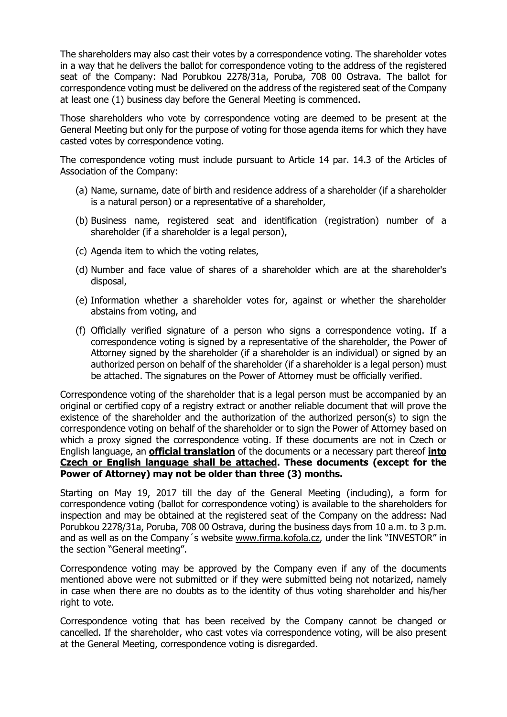The shareholders may also cast their votes by a correspondence voting. The shareholder votes in a way that he delivers the ballot for correspondence voting to the address of the registered seat of the Company: Nad Porubkou 2278/31a, Poruba, 708 00 Ostrava. The ballot for correspondence voting must be delivered on the address of the registered seat of the Company at least one (1) business day before the General Meeting is commenced.

Those shareholders who vote by correspondence voting are deemed to be present at the General Meeting but only for the purpose of voting for those agenda items for which they have casted votes by correspondence voting.

The correspondence voting must include pursuant to Article 14 par. 14.3 of the Articles of Association of the Company:

- (a) Name, surname, date of birth and residence address of a shareholder (if a shareholder is a natural person) or a representative of a shareholder,
- (b) Business name, registered seat and identification (registration) number of a shareholder (if a shareholder is a legal person),
- (c) Agenda item to which the voting relates,
- (d) Number and face value of shares of a shareholder which are at the shareholder's disposal,
- (e) Information whether a shareholder votes for, against or whether the shareholder abstains from voting, and
- (f) Officially verified signature of a person who signs a correspondence voting. If a correspondence voting is signed by a representative of the shareholder, the Power of Attorney signed by the shareholder (if a shareholder is an individual) or signed by an authorized person on behalf of the shareholder (if a shareholder is a legal person) must be attached. The signatures on the Power of Attorney must be officially verified.

Correspondence voting of the shareholder that is a legal person must be accompanied by an original or certified copy of a registry extract or another reliable document that will prove the existence of the shareholder and the authorization of the authorized person(s) to sign the correspondence voting on behalf of the shareholder or to sign the Power of Attorney based on which a proxy signed the correspondence voting. If these documents are not in Czech or English language, an **official translation** of the documents or a necessary part thereof **into Czech or English language shall be attached. These documents (except for the Power of Attorney) may not be older than three (3) months.**

Starting on May 19, 2017 till the day of the General Meeting (including), a form for correspondence voting (ballot for correspondence voting) is available to the shareholders for inspection and may be obtained at the registered seat of the Company on the address: Nad Porubkou 2278/31a, Poruba, 708 00 Ostrava, during the business days from 10 a.m. to 3 p.m. and as well as on the Company´s website [www.firma.kofola.cz](http://www.firma.kofola.cz/), under the link "INVESTOR" in the section "General meeting".

Correspondence voting may be approved by the Company even if any of the documents mentioned above were not submitted or if they were submitted being not notarized, namely in case when there are no doubts as to the identity of thus voting shareholder and his/her right to vote.

Correspondence voting that has been received by the Company cannot be changed or cancelled. If the shareholder, who cast votes via correspondence voting, will be also present at the General Meeting, correspondence voting is disregarded.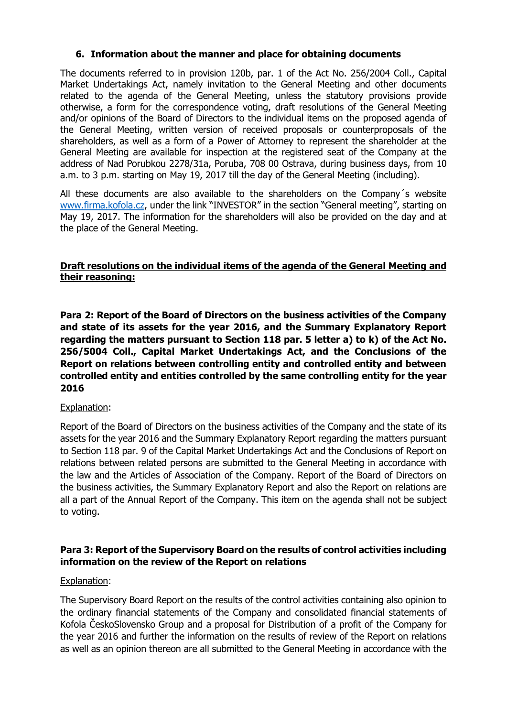## **6. Information about the manner and place for obtaining documents**

The documents referred to in provision 120b, par. 1 of the Act No. 256/2004 Coll., Capital Market Undertakings Act, namely invitation to the General Meeting and other documents related to the agenda of the General Meeting, unless the statutory provisions provide otherwise, a form for the correspondence voting, draft resolutions of the General Meeting and/or opinions of the Board of Directors to the individual items on the proposed agenda of the General Meeting, written version of received proposals or counterproposals of the shareholders, as well as a form of a Power of Attorney to represent the shareholder at the General Meeting are available for inspection at the registered seat of the Company at the address of Nad Porubkou 2278/31a, Poruba, 708 00 Ostrava, during business days, from 10 a.m. to 3 p.m. starting on May 19, 2017 till the day of the General Meeting (including).

All these documents are also available to the shareholders on the Company´s website [www.firma.kofola.cz,](http://www.firma.kofola.cz/) under the link "INVESTOR" in the section "General meeting", starting on May 19, 2017. The information for the shareholders will also be provided on the day and at the place of the General Meeting.

## **Draft resolutions on the individual items of the agenda of the General Meeting and their reasoning:**

**Para 2: Report of the Board of Directors on the business activities of the Company and state of its assets for the year 2016, and the Summary Explanatory Report regarding the matters pursuant to Section 118 par. 5 letter a) to k) of the Act No. 256/5004 Coll., Capital Market Undertakings Act, and the Conclusions of the Report on relations between controlling entity and controlled entity and between controlled entity and entities controlled by the same controlling entity for the year 2016**

### Explanation:

Report of the Board of Directors on the business activities of the Company and the state of its assets for the year 2016 and the Summary Explanatory Report regarding the matters pursuant to Section 118 par. 9 of the Capital Market Undertakings Act and the Conclusions of Report on relations between related persons are submitted to the General Meeting in accordance with the law and the Articles of Association of the Company. Report of the Board of Directors on the business activities, the Summary Explanatory Report and also the Report on relations are all a part of the Annual Report of the Company. This item on the agenda shall not be subject to voting.

## **Para 3: Report of the Supervisory Board on the results of control activities including information on the review of the Report on relations**

### Explanation:

The Supervisory Board Report on the results of the control activities containing also opinion to the ordinary financial statements of the Company and consolidated financial statements of Kofola ČeskoSlovensko Group and a proposal for Distribution of a profit of the Company for the year 2016 and further the information on the results of review of the Report on relations as well as an opinion thereon are all submitted to the General Meeting in accordance with the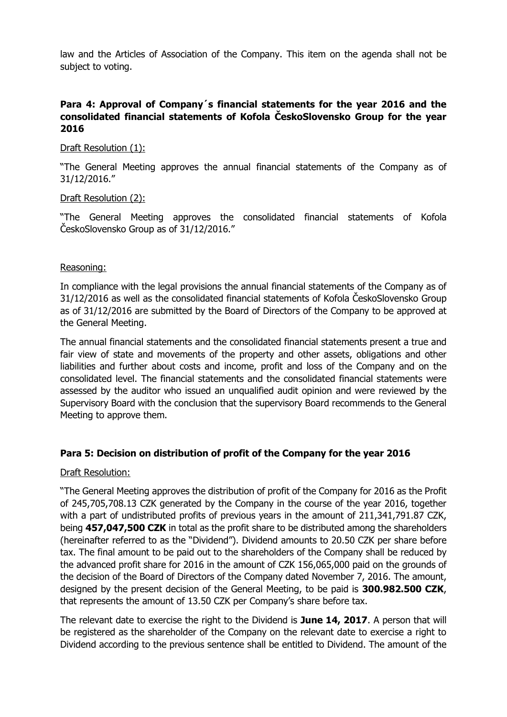law and the Articles of Association of the Company. This item on the agenda shall not be subject to voting.

## **Para 4: Approval of Company´s financial statements for the year 2016 and the consolidated financial statements of Kofola ČeskoSlovensko Group for the year 2016**

## Draft Resolution (1):

"The General Meeting approves the annual financial statements of the Company as of 31/12/2016."

## Draft Resolution (2):

"The General Meeting approves the consolidated financial statements of Kofola ČeskoSlovensko Group as of 31/12/2016."

## Reasoning:

In compliance with the legal provisions the annual financial statements of the Company as of 31/12/2016 as well as the consolidated financial statements of Kofola ČeskoSlovensko Group as of 31/12/2016 are submitted by the Board of Directors of the Company to be approved at the General Meeting.

The annual financial statements and the consolidated financial statements present a true and fair view of state and movements of the property and other assets, obligations and other liabilities and further about costs and income, profit and loss of the Company and on the consolidated level. The financial statements and the consolidated financial statements were assessed by the auditor who issued an unqualified audit opinion and were reviewed by the Supervisory Board with the conclusion that the supervisory Board recommends to the General Meeting to approve them.

## **Para 5: Decision on distribution of profit of the Company for the year 2016**

### Draft Resolution:

"The General Meeting approves the distribution of profit of the Company for 2016 as the Profit of 245,705,708.13 CZK generated by the Company in the course of the year 2016, together with a part of undistributed profits of previous years in the amount of 211,341,791.87 CZK, being **457,047,500 CZK** in total as the profit share to be distributed among the shareholders (hereinafter referred to as the "Dividend"). Dividend amounts to 20.50 CZK per share before tax. The final amount to be paid out to the shareholders of the Company shall be reduced by the advanced profit share for 2016 in the amount of CZK 156,065,000 paid on the grounds of the decision of the Board of Directors of the Company dated November 7, 2016. The amount, designed by the present decision of the General Meeting, to be paid is **300.982.500 CZK**, that represents the amount of 13.50 CZK per Company's share before tax.

The relevant date to exercise the right to the Dividend is **June 14, 2017**. A person that will be registered as the shareholder of the Company on the relevant date to exercise a right to Dividend according to the previous sentence shall be entitled to Dividend. The amount of the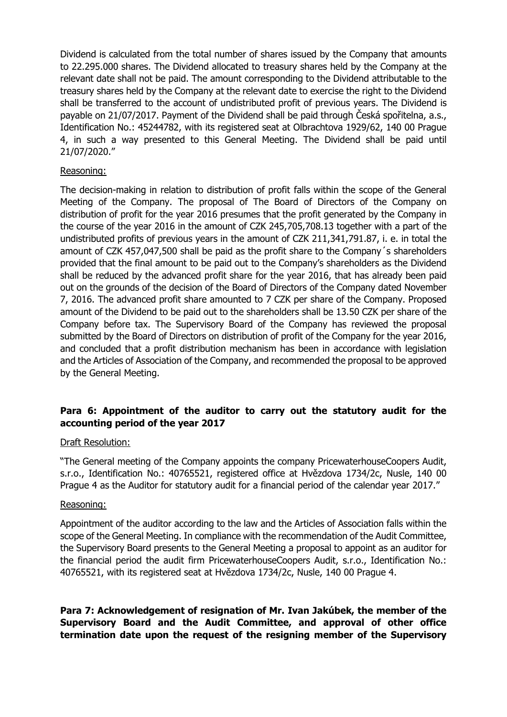Dividend is calculated from the total number of shares issued by the Company that amounts to 22.295.000 shares. The Dividend allocated to treasury shares held by the Company at the relevant date shall not be paid. The amount corresponding to the Dividend attributable to the treasury shares held by the Company at the relevant date to exercise the right to the Dividend shall be transferred to the account of undistributed profit of previous years. The Dividend is payable on 21/07/2017. Payment of the Dividend shall be paid through Česká spořitelna, a.s., Identification No.: 45244782, with its registered seat at Olbrachtova 1929/62, 140 00 Prague 4, in such a way presented to this General Meeting. The Dividend shall be paid until 21/07/2020."

## Reasoning:

The decision-making in relation to distribution of profit falls within the scope of the General Meeting of the Company. The proposal of The Board of Directors of the Company on distribution of profit for the year 2016 presumes that the profit generated by the Company in the course of the year 2016 in the amount of CZK 245,705,708.13 together with a part of the undistributed profits of previous years in the amount of CZK 211,341,791.87, i. e. in total the amount of CZK 457,047,500 shall be paid as the profit share to the Company´s shareholders provided that the final amount to be paid out to the Company's shareholders as the Dividend shall be reduced by the advanced profit share for the year 2016, that has already been paid out on the grounds of the decision of the Board of Directors of the Company dated November 7, 2016. The advanced profit share amounted to 7 CZK per share of the Company. Proposed amount of the Dividend to be paid out to the shareholders shall be 13.50 CZK per share of the Company before tax. The Supervisory Board of the Company has reviewed the proposal submitted by the Board of Directors on distribution of profit of the Company for the year 2016, and concluded that a profit distribution mechanism has been in accordance with legislation and the Articles of Association of the Company, and recommended the proposal to be approved by the General Meeting.

## **Para 6: Appointment of the auditor to carry out the statutory audit for the accounting period of the year 2017**

### Draft Resolution:

"The General meeting of the Company appoints the company PricewaterhouseCoopers Audit, s.r.o., Identification No.: 40765521, registered office at Hvězdova 1734/2c, Nusle, 140 00 Prague 4 as the Auditor for statutory audit for a financial period of the calendar year 2017."

#### Reasoning:

Appointment of the auditor according to the law and the Articles of Association falls within the scope of the General Meeting. In compliance with the recommendation of the Audit Committee, the Supervisory Board presents to the General Meeting a proposal to appoint as an auditor for the financial period the audit firm PricewaterhouseCoopers Audit, s.r.o., Identification No.: 40765521, with its registered seat at Hvězdova 1734/2c, Nusle, 140 00 Prague 4.

**Para 7: Acknowledgement of resignation of Mr. Ivan Jakúbek, the member of the Supervisory Board and the Audit Committee, and approval of other office termination date upon the request of the resigning member of the Supervisory**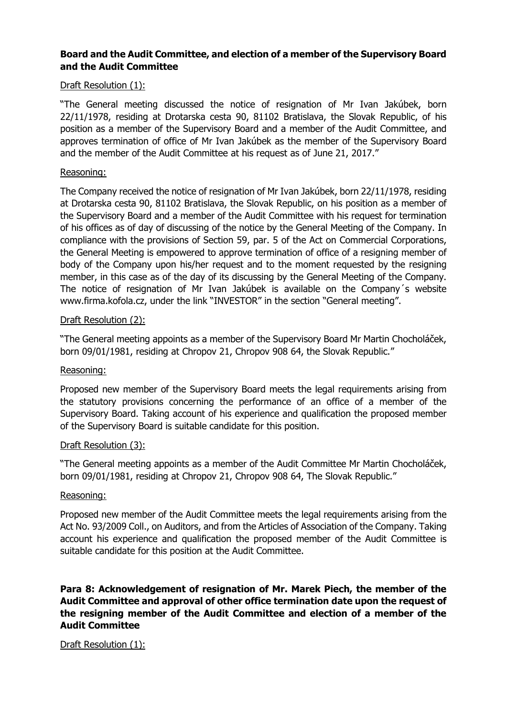## **Board and the Audit Committee, and election of a member of the Supervisory Board and the Audit Committee**

## Draft Resolution (1):

"The General meeting discussed the notice of resignation of Mr Ivan Jakúbek, born 22/11/1978, residing at Drotarska cesta 90, 81102 Bratislava, the Slovak Republic, of his position as a member of the Supervisory Board and a member of the Audit Committee, and approves termination of office of Mr Ivan Jakúbek as the member of the Supervisory Board and the member of the Audit Committee at his request as of June 21, 2017."

#### Reasoning:

The Company received the notice of resignation of Mr Ivan Jakúbek, born 22/11/1978, residing at Drotarska cesta 90, 81102 Bratislava, the Slovak Republic, on his position as a member of the Supervisory Board and a member of the Audit Committee with his request for termination of his offices as of day of discussing of the notice by the General Meeting of the Company. In compliance with the provisions of Section 59, par. 5 of the Act on Commercial Corporations, the General Meeting is empowered to approve termination of office of a resigning member of body of the Company upon his/her request and to the moment requested by the resigning member, in this case as of the day of its discussing by the General Meeting of the Company. The notice of resignation of Mr Ivan Jakúbek is available on the Company´s website www.firma.kofola.cz, under the link "INVESTOR" in the section "General meeting".

### Draft Resolution (2):

"The General meeting appoints as a member of the Supervisory Board Mr Martin Chocholáček, born 09/01/1981, residing at Chropov 21, Chropov 908 64, the Slovak Republic."

#### Reasoning:

Proposed new member of the Supervisory Board meets the legal requirements arising from the statutory provisions concerning the performance of an office of a member of the Supervisory Board. Taking account of his experience and qualification the proposed member of the Supervisory Board is suitable candidate for this position.

### Draft Resolution (3):

"The General meeting appoints as a member of the Audit Committee Mr Martin Chocholáček, born 09/01/1981, residing at Chropov 21, Chropov 908 64, The Slovak Republic."

#### Reasoning:

Proposed new member of the Audit Committee meets the legal requirements arising from the Act No. 93/2009 Coll., on Auditors, and from the Articles of Association of the Company. Taking account his experience and qualification the proposed member of the Audit Committee is suitable candidate for this position at the Audit Committee.

## **Para 8: Acknowledgement of resignation of Mr. Marek Piech, the member of the Audit Committee and approval of other office termination date upon the request of the resigning member of the Audit Committee and election of a member of the Audit Committee**

### Draft Resolution (1):